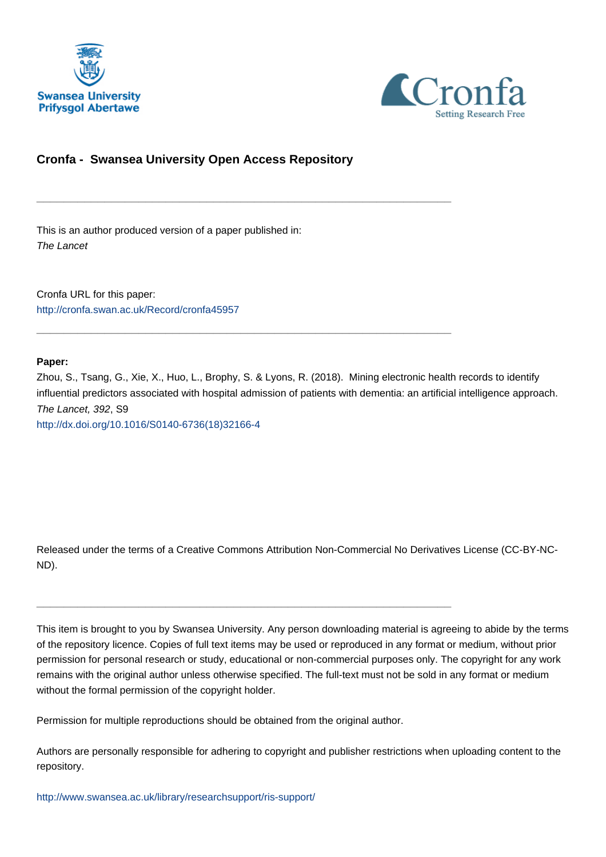



## **Cronfa - Swansea University Open Access Repository**

\_\_\_\_\_\_\_\_\_\_\_\_\_\_\_\_\_\_\_\_\_\_\_\_\_\_\_\_\_\_\_\_\_\_\_\_\_\_\_\_\_\_\_\_\_\_\_\_\_\_\_\_\_\_\_\_\_\_\_\_\_

\_\_\_\_\_\_\_\_\_\_\_\_\_\_\_\_\_\_\_\_\_\_\_\_\_\_\_\_\_\_\_\_\_\_\_\_\_\_\_\_\_\_\_\_\_\_\_\_\_\_\_\_\_\_\_\_\_\_\_\_\_

This is an author produced version of a paper published in: The Lancet

Cronfa URL for this paper: <http://cronfa.swan.ac.uk/Record/cronfa45957>

### **Paper:**

Zhou, S., Tsang, G., Xie, X., Huo, L., Brophy, S. & Lyons, R. (2018). Mining electronic health records to identify influential predictors associated with hospital admission of patients with dementia: an artificial intelligence approach. The Lancet, 392, S9 [http://dx.doi.org/10.1016/S0140-6736\(18\)32166-4](http://dx.doi.org/10.1016/S0140-6736(18)32166-4)

Released under the terms of a Creative Commons Attribution Non-Commercial No Derivatives License (CC-BY-NC-ND).

This item is brought to you by Swansea University. Any person downloading material is agreeing to abide by the terms of the repository licence. Copies of full text items may be used or reproduced in any format or medium, without prior permission for personal research or study, educational or non-commercial purposes only. The copyright for any work remains with the original author unless otherwise specified. The full-text must not be sold in any format or medium without the formal permission of the copyright holder.

Permission for multiple reproductions should be obtained from the original author.

\_\_\_\_\_\_\_\_\_\_\_\_\_\_\_\_\_\_\_\_\_\_\_\_\_\_\_\_\_\_\_\_\_\_\_\_\_\_\_\_\_\_\_\_\_\_\_\_\_\_\_\_\_\_\_\_\_\_\_\_\_

Authors are personally responsible for adhering to copyright and publisher restrictions when uploading content to the repository.